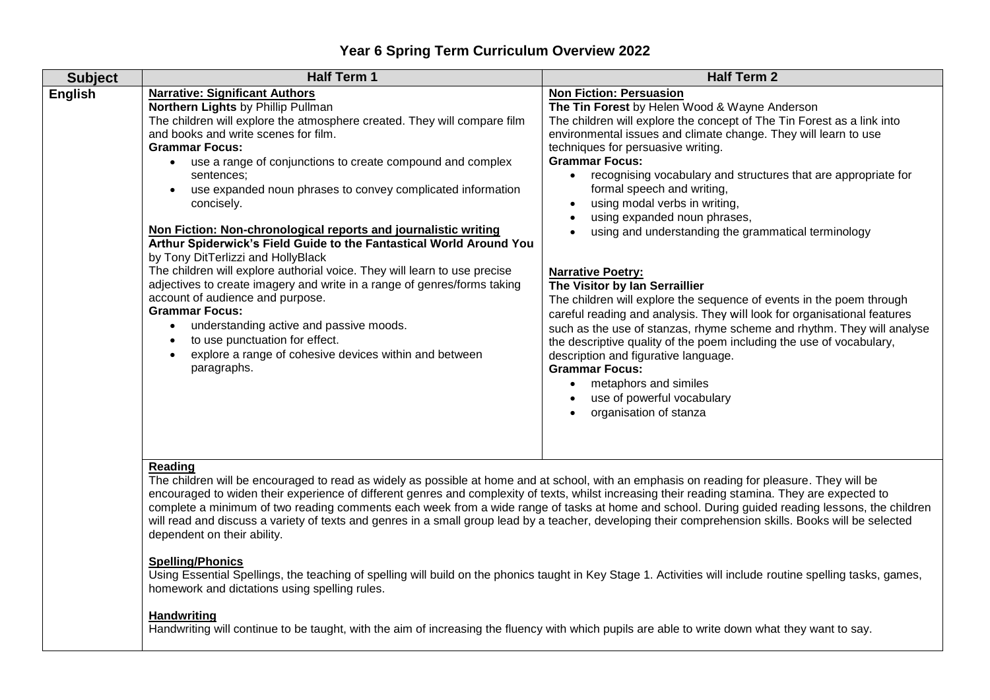## **Year 6 Spring Term Curriculum Overview 2022**

| <b>Subject</b> | <b>Half Term 1</b>                                                                                                                                                                                                                                                                                                                                                                                                                                                                                                                                                                                                                                                                                                                                                                                                                                                                                                                            | <b>Half Term 2</b>                                                                                                                                                                                                                                                                                                                                                                                                                                                                                                                                                                                                                                                                                                                                                                                                                                                                                                                                                                                                                        |
|----------------|-----------------------------------------------------------------------------------------------------------------------------------------------------------------------------------------------------------------------------------------------------------------------------------------------------------------------------------------------------------------------------------------------------------------------------------------------------------------------------------------------------------------------------------------------------------------------------------------------------------------------------------------------------------------------------------------------------------------------------------------------------------------------------------------------------------------------------------------------------------------------------------------------------------------------------------------------|-------------------------------------------------------------------------------------------------------------------------------------------------------------------------------------------------------------------------------------------------------------------------------------------------------------------------------------------------------------------------------------------------------------------------------------------------------------------------------------------------------------------------------------------------------------------------------------------------------------------------------------------------------------------------------------------------------------------------------------------------------------------------------------------------------------------------------------------------------------------------------------------------------------------------------------------------------------------------------------------------------------------------------------------|
| <b>English</b> | <b>Narrative: Significant Authors</b><br>Northern Lights by Phillip Pullman<br>The children will explore the atmosphere created. They will compare film<br>and books and write scenes for film.<br><b>Grammar Focus:</b><br>use a range of conjunctions to create compound and complex<br>sentences;<br>use expanded noun phrases to convey complicated information<br>concisely.<br>Non Fiction: Non-chronological reports and journalistic writing<br>Arthur Spiderwick's Field Guide to the Fantastical World Around You<br>by Tony DitTerlizzi and HollyBlack<br>The children will explore authorial voice. They will learn to use precise<br>adjectives to create imagery and write in a range of genres/forms taking<br>account of audience and purpose.<br><b>Grammar Focus:</b><br>understanding active and passive moods.<br>to use punctuation for effect.<br>explore a range of cohesive devices within and between<br>paragraphs. | <b>Non Fiction: Persuasion</b><br>The Tin Forest by Helen Wood & Wayne Anderson<br>The children will explore the concept of The Tin Forest as a link into<br>environmental issues and climate change. They will learn to use<br>techniques for persuasive writing.<br><b>Grammar Focus:</b><br>recognising vocabulary and structures that are appropriate for<br>formal speech and writing,<br>using modal verbs in writing,<br>using expanded noun phrases,<br>using and understanding the grammatical terminology<br><b>Narrative Poetry:</b><br>The Visitor by Ian Serraillier<br>The children will explore the sequence of events in the poem through<br>careful reading and analysis. They will look for organisational features<br>such as the use of stanzas, rhyme scheme and rhythm. They will analyse<br>the descriptive quality of the poem including the use of vocabulary,<br>description and figurative language.<br><b>Grammar Focus:</b><br>metaphors and similes<br>use of powerful vocabulary<br>organisation of stanza |
|                | <b>Reading</b><br>The children will be encouraged to read as widely as possible at home and at school, with an emphasis on reading for pleasure. They will be                                                                                                                                                                                                                                                                                                                                                                                                                                                                                                                                                                                                                                                                                                                                                                                 |                                                                                                                                                                                                                                                                                                                                                                                                                                                                                                                                                                                                                                                                                                                                                                                                                                                                                                                                                                                                                                           |

The children will be encouraged to read as widely as possible at home and at school, with an emphasis on reading for pleasure. They will be encouraged to widen their experience of different genres and complexity of texts, whilst increasing their reading stamina. They are expected to complete a minimum of two reading comments each week from a wide range of tasks at home and school. During guided reading lessons, the children will read and discuss a variety of texts and genres in a small group lead by a teacher, developing their comprehension skills. Books will be selected dependent on their ability.

## **Spelling/Phonics**

Using Essential Spellings, the teaching of spelling will build on the phonics taught in Key Stage 1. Activities will include routine spelling tasks, games, homework and dictations using spelling rules.

## **Handwriting**

Handwriting will continue to be taught, with the aim of increasing the fluency with which pupils are able to write down what they want to say.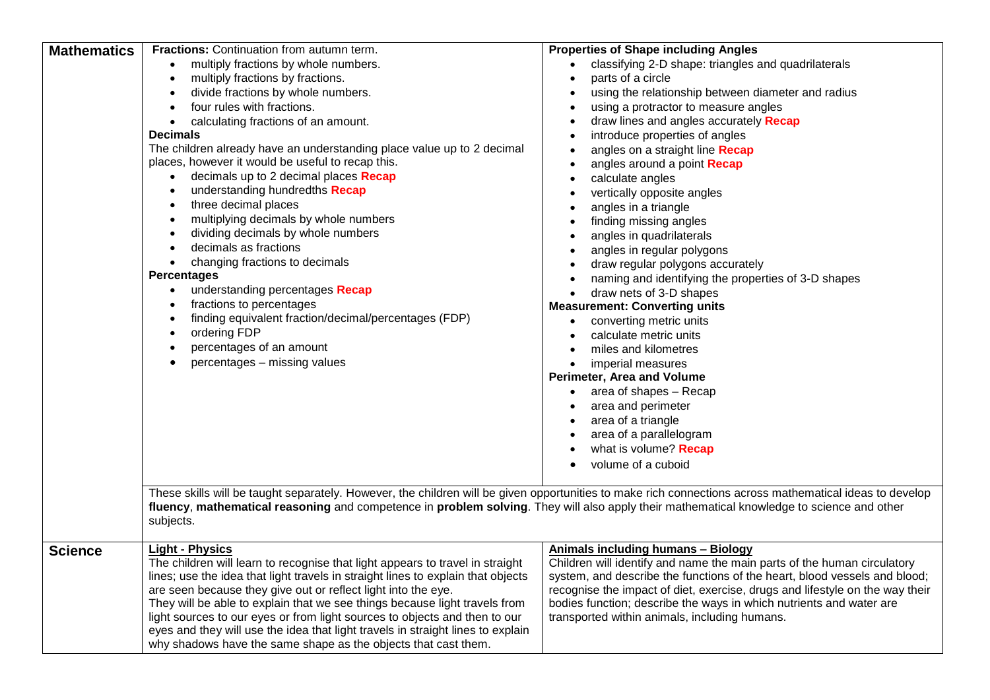| <b>Mathematics</b> | <b>Fractions:</b> Continuation from autumn term.                                                                                                         | <b>Properties of Shape including Angles</b>                                  |  |
|--------------------|----------------------------------------------------------------------------------------------------------------------------------------------------------|------------------------------------------------------------------------------|--|
|                    | multiply fractions by whole numbers.                                                                                                                     | classifying 2-D shape: triangles and quadrilaterals                          |  |
|                    | multiply fractions by fractions.<br>$\bullet$                                                                                                            | parts of a circle                                                            |  |
|                    | divide fractions by whole numbers.                                                                                                                       | using the relationship between diameter and radius                           |  |
|                    | four rules with fractions.                                                                                                                               | using a protractor to measure angles                                         |  |
|                    | calculating fractions of an amount.<br>$\bullet$                                                                                                         | draw lines and angles accurately Recap                                       |  |
|                    | <b>Decimals</b>                                                                                                                                          | introduce properties of angles                                               |  |
|                    | The children already have an understanding place value up to 2 decimal                                                                                   | angles on a straight line Recap                                              |  |
|                    | places, however it would be useful to recap this.                                                                                                        | angles around a point Recap                                                  |  |
|                    | decimals up to 2 decimal places Recap                                                                                                                    | calculate angles<br>$\bullet$                                                |  |
|                    | understanding hundredths Recap                                                                                                                           | vertically opposite angles                                                   |  |
|                    | three decimal places<br>$\bullet$                                                                                                                        | angles in a triangle                                                         |  |
|                    | multiplying decimals by whole numbers<br>$\bullet$                                                                                                       | finding missing angles                                                       |  |
|                    | dividing decimals by whole numbers<br>$\bullet$                                                                                                          | angles in quadrilaterals                                                     |  |
|                    | decimals as fractions                                                                                                                                    | angles in regular polygons                                                   |  |
|                    | changing fractions to decimals<br>$\bullet$                                                                                                              | draw regular polygons accurately                                             |  |
|                    | <b>Percentages</b>                                                                                                                                       | naming and identifying the properties of 3-D shapes                          |  |
|                    | understanding percentages Recap                                                                                                                          | draw nets of 3-D shapes<br>$\bullet$                                         |  |
|                    | fractions to percentages                                                                                                                                 | <b>Measurement: Converting units</b>                                         |  |
|                    | finding equivalent fraction/decimal/percentages (FDP)<br>$\bullet$                                                                                       | converting metric units                                                      |  |
|                    | ordering FDP<br>$\bullet$                                                                                                                                | calculate metric units                                                       |  |
|                    | percentages of an amount<br>$\bullet$                                                                                                                    | miles and kilometres                                                         |  |
|                    | percentages - missing values                                                                                                                             | imperial measures<br>$\bullet$                                               |  |
|                    |                                                                                                                                                          | Perimeter, Area and Volume                                                   |  |
|                    |                                                                                                                                                          | area of shapes - Recap                                                       |  |
|                    |                                                                                                                                                          | area and perimeter                                                           |  |
|                    |                                                                                                                                                          | area of a triangle                                                           |  |
|                    |                                                                                                                                                          | area of a parallelogram                                                      |  |
|                    |                                                                                                                                                          | what is volume? Recap                                                        |  |
|                    |                                                                                                                                                          | volume of a cuboid                                                           |  |
|                    |                                                                                                                                                          |                                                                              |  |
|                    | These skills will be taught separately. However, the children will be given opportunities to make rich connections across mathematical ideas to develop  |                                                                              |  |
|                    | fluency, mathematical reasoning and competence in problem solving. They will also apply their mathematical knowledge to science and other                |                                                                              |  |
|                    | subjects.                                                                                                                                                |                                                                              |  |
|                    |                                                                                                                                                          |                                                                              |  |
| <b>Science</b>     | <b>Light - Physics</b>                                                                                                                                   | <b>Animals including humans - Biology</b>                                    |  |
|                    | The children will learn to recognise that light appears to travel in straight                                                                            | Children will identify and name the main parts of the human circulatory      |  |
|                    | lines; use the idea that light travels in straight lines to explain that objects                                                                         | system, and describe the functions of the heart, blood vessels and blood;    |  |
|                    | are seen because they give out or reflect light into the eye.                                                                                            | recognise the impact of diet, exercise, drugs and lifestyle on the way their |  |
|                    | They will be able to explain that we see things because light travels from<br>light sources to our eyes or from light sources to objects and then to our | bodies function; describe the ways in which nutrients and water are          |  |
|                    | eyes and they will use the idea that light travels in straight lines to explain                                                                          | transported within animals, including humans.                                |  |
|                    | why shadows have the same shape as the objects that cast them.                                                                                           |                                                                              |  |
|                    |                                                                                                                                                          |                                                                              |  |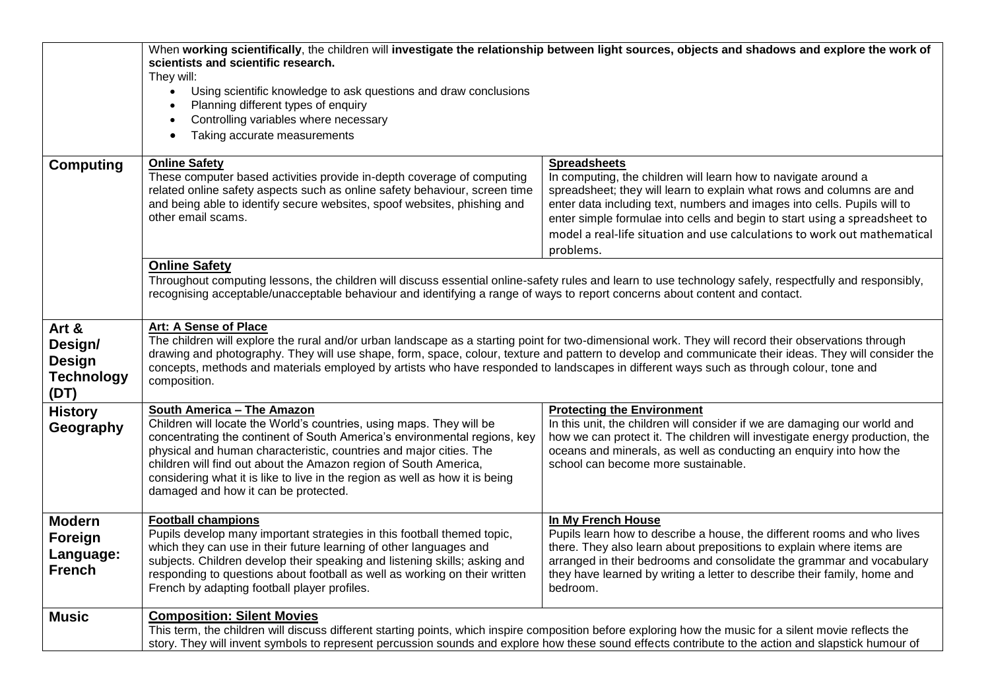|                                                                | When working scientifically, the children will investigate the relationship between light sources, objects and shadows and explore the work of<br>scientists and scientific research.<br>They will:<br>Using scientific knowledge to ask questions and draw conclusions<br>Planning different types of enquiry<br>Controlling variables where necessary<br>$\bullet$<br>Taking accurate measurements<br>$\bullet$                                                                                 |                                                                                                                                                                                                                                                                                                                                                                                                                    |  |
|----------------------------------------------------------------|---------------------------------------------------------------------------------------------------------------------------------------------------------------------------------------------------------------------------------------------------------------------------------------------------------------------------------------------------------------------------------------------------------------------------------------------------------------------------------------------------|--------------------------------------------------------------------------------------------------------------------------------------------------------------------------------------------------------------------------------------------------------------------------------------------------------------------------------------------------------------------------------------------------------------------|--|
| <b>Computing</b>                                               | <b>Online Safety</b><br>These computer based activities provide in-depth coverage of computing<br>related online safety aspects such as online safety behaviour, screen time<br>and being able to identify secure websites, spoof websites, phishing and<br>other email scams.                                                                                                                                                                                                                    | <b>Spreadsheets</b><br>In computing, the children will learn how to navigate around a<br>spreadsheet; they will learn to explain what rows and columns are and<br>enter data including text, numbers and images into cells. Pupils will to<br>enter simple formulae into cells and begin to start using a spreadsheet to<br>model a real-life situation and use calculations to work out mathematical<br>problems. |  |
|                                                                | <b>Online Safety</b><br>Throughout computing lessons, the children will discuss essential online-safety rules and learn to use technology safely, respectfully and responsibly,<br>recognising acceptable/unacceptable behaviour and identifying a range of ways to report concerns about content and contact.                                                                                                                                                                                    |                                                                                                                                                                                                                                                                                                                                                                                                                    |  |
| Art &<br>Design/<br><b>Design</b><br><b>Technology</b><br>(DT) | Art: A Sense of Place<br>The children will explore the rural and/or urban landscape as a starting point for two-dimensional work. They will record their observations through<br>drawing and photography. They will use shape, form, space, colour, texture and pattern to develop and communicate their ideas. They will consider the<br>concepts, methods and materials employed by artists who have responded to landscapes in different ways such as through colour, tone and<br>composition. |                                                                                                                                                                                                                                                                                                                                                                                                                    |  |
| <b>History</b><br>Geography                                    | <b>South America - The Amazon</b><br>Children will locate the World's countries, using maps. They will be<br>concentrating the continent of South America's environmental regions, key<br>physical and human characteristic, countries and major cities. The<br>children will find out about the Amazon region of South America,<br>considering what it is like to live in the region as well as how it is being<br>damaged and how it can be protected.                                          | <b>Protecting the Environment</b><br>In this unit, the children will consider if we are damaging our world and<br>how we can protect it. The children will investigate energy production, the<br>oceans and minerals, as well as conducting an enquiry into how the<br>school can become more sustainable.                                                                                                         |  |
| <b>Modern</b><br>Foreign<br>Language:<br><b>French</b>         | <b>Football champions</b><br>Pupils develop many important strategies in this football themed topic,<br>which they can use in their future learning of other languages and<br>subjects. Children develop their speaking and listening skills; asking and<br>responding to questions about football as well as working on their written<br>French by adapting football player profiles.                                                                                                            | In My French House<br>Pupils learn how to describe a house, the different rooms and who lives<br>there. They also learn about prepositions to explain where items are<br>arranged in their bedrooms and consolidate the grammar and vocabulary<br>they have learned by writing a letter to describe their family, home and<br>bedroom.                                                                             |  |
| <b>Music</b>                                                   | <b>Composition: Silent Movies</b><br>This term, the children will discuss different starting points, which inspire composition before exploring how the music for a silent movie reflects the<br>story. They will invent symbols to represent percussion sounds and explore how these sound effects contribute to the action and slapstick humour of                                                                                                                                              |                                                                                                                                                                                                                                                                                                                                                                                                                    |  |